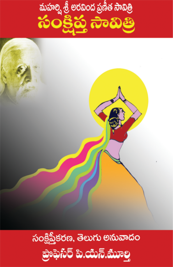

## సంక్షిప్తీకరణ, తెలుగు అనువాదం <u> ಪೂಕುಗಿರಿ ಪಿ.ಯಗಿ.ಮೂಲ್ವ</u>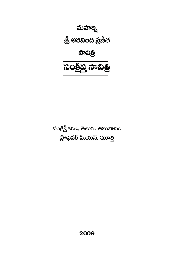

సంక్షిప్తీకరణ, తెలుగు అనువాదం ప్రాఫెసర్ పి.యన్. మూర్తి

2009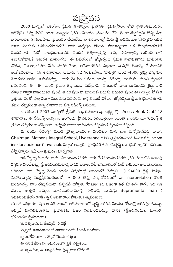2003 మార్చిలో ఒకరోజు, శ్రీమతి జ్యోతిర్మయి (పభావతి (శ్రీసత్యసాయి శోభా (పశాంతిమందిరం అధినేత్రి) నన్ను పిలిచి యిలా అన్నారు: 'ప్రతి శనివారం 'ప్రవచనం చేసే త్రీ యశస్విస్వామి కొన్ని దీక్షా కారణాలవల్ల 5 నెలలపాటు (పవచనం చేయలేరు. ఆ శనివారాల్లో మీరు శ్రీ అరవిందుల 'సావిత్రి'ని చదివి మాకు ఎందుకు వినిపించకూడదు?' నాకు ఆశ్చర్యం వేసింది. సామాన్య<mark>ంగా ఒక సాం</mark>ప్రదాయానికి చెందినవారు మరో సాం(పదాయానికి చెందిన తత్త్వశా<sub>)</sub>స్తాన్ని కాని, సాహిత్యాన్ని గురించి కాని తెలుసుకోటానికి ఆతురత చూపించరు. ఈ విషయంలో జ్యోతిర్మయి శ్రీమతి (పభావతిగారు చూపించిన చొరవ, విశాలభావనకు నేను మురిసిపోయి, ఆమెగారడిగిన విధంగా 'సావిత్రి' రీడింగ్స్ చేయటానికి అంగీకరించాను. 18 శనివారాలు, సుమారు 32 గంటలపాటు 'సావిత్రి' నుండి~4000 లైన్లు ఎన్నుకుని తెలుగులో వాటిని అనువదిస్తూ, నాకు తెలిసిన వివరణ యిస్తూ 'రీడింగ్స్' జరిపాను. మంచి స్పందన లభించింది. 50, 60 మంది క్రమం తప్పకుండా వచ్చేవారు. వినటంలో వారు చూపించిన (శద్ధ, వారి చూపుల ద్వారా నాకందుతూ వుంటే, ఆ చూపులు నా మాటలకు పదును పెడుతూ వుంటే ఈ పరస్పర పోషణా థుక్రియ ఎంతో వుల్లాసంగా ముందుకు నడిచింది. అన్నిటికంటే విశేషం: జ్యోతిర్మయి శ్రీమతి (పభావతిగారు క్రమం తప్పకుండా అన్ని శనివారాలు వచ్చి రీడింగ్స్ వినటమే.

ఆ తరువాత 2007 మార్చిలో శ్రీమతి రాధారమణారావు అభ్యర్ధనపై 'Asess Book Club' 18 శనివారాలు ఈ రీడింగ్స్ యివ్వటం జరిగింది. (పొఫెసర్లు, రచయిత్రులూ యింకా కొందరు యీ 'రీడింగ్స్'కి (క్రమం తప్పకుండా వచ్చేవారు. అప్పుడు కూడా యిదివరకు వచ్చినంత స్పందనా వచ్చింది.

ఈ రెండు 'రీడింగ్స్' మంచి (పోత్సాహకరంగా వుండటం చూసి డా॥ మన్మోహన్రెడ్డి 'దాదా', Chairman, Mother's Integral School, Hyderabad దీనిని పుస్తకరూపంలో తీసుకువచ్చి యింకా insider audience కి available చేద్దాం' అన్నారు. (పొఫెసర్ శివరామకృష్ణ యీ (పయత్నానికి సహాయం చేసానన్నారు. ఇదీ యీ (పచురణ పూర్వగాథ.

ఇది స్వేచ్చానువాదం కాదు. వీలయినంతవరకు నాకు చేతనయినంతవరకు (పతి చరణానికి దాదాపు దగ్గరగా వుందేటట్లు, శ్రీ అరవిందమహర్షి వాడిన పదాలు ఏవీ అనువాదంలో మిస్ కాకుండా అనువదించటం జరిగింది. కాని స్వేచ్ఛ రెండు యితర విషయాల్లో జరిగిందనే చెప్పాలి. 1) 24000 లైన్ల 'సావి<mark>త</mark>ి' మహాకావ్యాన్ని సంక్షిప్తీకరించటంలో, ~4000 లైన్లు ఎన్నుకోవటంలో నా interpretation కొంత వుండవచ్చు, చాల తక్కువయినా వున్నదనే చెప్పాలి. 'సావిత్రి' కథ నిజంగా కథ మాత్రమే కాదు. అది ఒక యోగ, తాత్త్విక కావ్యం. మానవపరిణామాన్ని సాధించి, భూమిపై Supramental man ని అవతరింపజేయటానికి ఎత్తిన అవతారాలు సావిత్రి, సత్యవంతులు.

ఈ కథ చరిత్రకూ, పురాణానికి అందని ఆదిమకాలంలో సృష్టి జరిగిన మొదటి రోజుల్లో జరిగివుండవచ్చు. అప్పుడే మానవపరిణామ (పణాళికకు బీజం పడివుండవచ్చు. దానికి (శ్రీఅరవిందుల మాటల్లో భగవంతుడన్నమాటలు:)

'ఓ సత్యవాన్, ఓ తేజస్వినీ సావిత్రీ ఎప్పుడో అనాదికాలంలో తారాపథంలో (కిందికి పంపాను. జ్ఞానంలేని యీ జగత్తులో రెండు శక్తులు ఈ ధరణీజీవులను అమరులుగా పైకి ఎత్తుతయి. నా జ్ఞానమూ, నా అజ్ఞానమూ వున్న యీ లోకంలో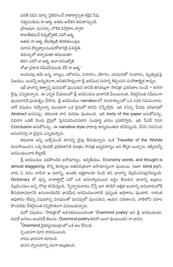ధరణి విధిని మార్చి పైకెదిగించే నాకార్యాన్విత శక్తివి నీవు. సత్యవంతుడు నా ఆత్మ. అతడు అచేతన తిమిరాన్నుండి (పాణమూ, మనస్సూ, లౌకిక విసారాల ద్వారా కాలాతీతమనే దివ్యజ్యోతికి ఎదిగే ఆత్మ. అతదు నా ఆత్మ. తేటతెల్లటి తరళతలంపుల మానవ ఔన్నత్యాలనందుకోటానికై పశుస్థితి. తమస్సులో తచ్చాడుతూ తడబడుతూ తిరిగి ఎదిగే నా ఆత్మ. అలా పరంజ్యోతి శోభా (పకాశ సమీపసీమలకు చేరే నా ఆత్మ.'

అందువల్ల ఆమె జన్మ, బాల్యం, యౌవనం, వివాహం, యోగం, యమునితో సంవాదం, మృత్యువుపై విజయం, యివన్నీ అద్భుతంగా, అనితరసాధ్యంగా శ్రీ అరవింద మహర్షి శిల్పించిన మహాతాత్త్విక కావ్యం.

ఇదే భావాన్ని తత్వాన్ని మనసులో వుంచుకుని దానికి తగినట్లుగా 'సావి(తి' (పకరణాల నుండి ~  $4000\,$ లైన్లు ఎన్నుకున్నాను. ఈ ఎన్నిక చేయటంలో శ్రీ అరవిందుల భావానికి వీలయినంత, చేతనైనంత సమీపంగా వుండటానికి (పయత్నం చేసాను. శ్రీ అరవిందుల narration లో, రచనాశిల్పంలో ఒక నడక గమనించాను. వారే విషయం చెప్పాలన్నా ముందుగా ఒక లైనులో దానిని చెప్పేస్తారు. ఇది రిసెర్చి పేపరు పరిభాషలో Abstract అనవచ్చు. తరువాత దాని వివరణ వుంటుంది. ఇది body of the paper అనుకోవచ్చు. చివరగా ఒకటి రెండు లైన్లలో పైనవివరించినదాని సంపూర్ణ భావం (పకటిస్తారు. ఇది పేపర్ చివర Conclusion అనుకోవచ్చు. ఈ narrative style దాదాపు కావ్యమంతటా కనిపిస్తుంది. దీనిని గమనించి అనుసరిస్తూ నా లైన్లను ఎన్నుకున్నాను.

తరువాత అన్ని బుక్స్ట్రోండి తగినన్ని లైన్లు తీసుకున్నాను (ఒక Traveller of the Worlds మినహాయించి). ఒక్క మొదటి (పకరణానికి మాత్రం సావిత్రి జన్మరహస్యం అని శీర్షిక యిచ్చాను. తక్కినవన్నీ అరవిందులవారి శీర్షికలే.

 $\mathring{\otimes}$  అరవిందుల పదపొందిక అసామాన్యం. అద్వితీయం. Economy words, and thought is almost staggering. కొన్ని కూర్పులు అతివిచిత్రంగా అసామాన్యంగా వుంటయి. (ఉదా: blind joy!). వారు ఏ పదం వాడినా ఆ పదాన్ని, అందలి అక్షరాలనూ పిండి తన భావాన్ని వెల్లడించినట్లనిపిస్తుంది. Dictionary లో వున్న నానార్థాల్లో ఏదో ఒక అనూహ్యమయిన అర్థం తీసుకుని భావాన్ని అల్లటం, వెల్లడించటం అన్ని చోట్లా కనిపిస్తుంది. స్వేచ్చానువాదం చేస్తే యీ జిగిబిగి అల్లిక అందాన్ని అనువాదంలోకి .<br>తీసుకురావటానికి అనువాదకుడికి భాషమీద అరవిందులవారికి వున్నంత అధికారం వుండాలి. నాకంత అధికారం లేదన్న విషయాన్ని వినయంతో మనస్సులో వుంచుకుని, ఆయన చరణాలను, వాటిలోని పదాల పొందికకు చేతనైైనంత సన్నిహితంగా మసులుకున్నాను.

మరో విషయం: 'సావిత్రి'లో అవగతమయినదంతా 'Overmind poetry' అని శ్రీ అరవిందులూ, మదర్ అనటం అందరికీ తెలుసు. Overmind poetry తరహా యిలా వుంటుందని నా భావన.

'Overmind చైతన్యసముద్రంలో ఒక అల లేచింది.

స్పందనగా మారి నాదమయింది.

నాదం భావనగా మారింది

భావన హృదయాన్ని వలగా అల్లుకుంది.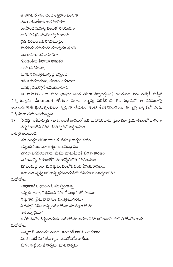ఆ భావన రూపం చెంది అక్షరాల వల్లరిగా పదాల రమణీయ రాగమాలికగా రూపొంది మహర్షి కలంలో రసఝరిగా జారి 'సావి(తి' మహాకావ్యమయింది. (పతి చరణం ఒక రససము(దం పాఠకుడు తమకంతో చదువుతూ వుంటే పదాలమాల రసవాహినిగా గుండెలకిరు తీరాలూ తాకుతూ ఒరసి (పవహిస్తూ మనిషిని మంత్రముగ్గుణ్ణి చేస్తుంది ఇది అడుగడుగునా, చరణం చరణంగా మనల్ని ఎదుర్కొనే ఆనందవాహిని.

ఈ వాహినిని ఎలా మరో భాషలో అంత తీపిగా తీర్చిదిద్దటం? అందువల్ల నేను మక్కికీ మక్కీనే ఎన్నుకున్నాను. వీలయినంత లోతుగా పదాల అర్థాన్ని పరిశీలించి తెలుగుభాషలో ఆ పరిమళాన్ని అందించటానికి (పయత్నించటం స్వేచ్ఛగా చేయటం కంటె తేలికనిపించింది. ఈ లైన్ల ఎన్నికలో రెండు విషయాలు గుర్తుంచుకున్నాను.

సావిత్రి, సతీసావిత్రిగా కాక, అంతే భావంతో ఒక మహాపరిణామ (పణాలికా క్రియాశీలతలో భాగంగా  $1)$ సత్యవంతుడిని తిరిగి తనకివ్వమని అర్థించటం.

సావి(తి అంటుంది:

'మా యిద్దరి జీవితాలూ ఒక (ప్రముఖ కార్యం కోసం జన్మించినయి. మా ఆత్మల అనుసంధానం ఎవరూ విడదీయలేనిది. మేము భూమిమీదికి వచ్చిన కారణం (పపంచాన్ని మరణంలేని పరంజ్యోతిలోకి ఎదిగించటం భగవంతుణ్ణి యీ భువి (పపంచంలోకి దింపి తీసుకురావటం, అలా యీ పృధ్వీ జీవితాన్ని భగవంతుడిలో జీవితంలా మార్చటానికి.'

మరోచోట:

'బాధానాడిని ఛేదించే నీ పరిష్వంగాన్ని

అన్ని జీవాలూ, నిశ్వసించి వసించే సుఖసంతోషాలనూ

నీ (పగాఢ (పేమవాహినుల మంత్రముగ్ధతనూ

నీ కమ్మని తీపితనాన్ని మహి కోసం మానవుల కోసం

నాకియ్య (పభూ'

ఆ తీపితనమే సత్యవంతుడు. మహికోసం అతడు తిరిగి జీవించాలి. సావి(తి కోసమే కాదు. మరోచోట:

'సత్యవాన్, ఆనందం మనది. అందరికీ దానిని పంచుదాం. ఎందుకంటే మన జీవాత్మలు మనకోసమే రాలేదు. మనం పుట్టింది జీవాత్మను, మానవాత్మను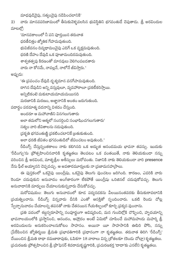మాధవుడివైపు, సత్యంవైపు నడిపించటానికి'

వారు మానవపరిణామంలో తీసుకువెళ్ళవలసిన భువిస్థితిని భగవంతుడే చెపుతాడు. శ్రీ అరవిందుల 2) మాటల్లో:

'మానవకాలంలో నీ పని పూర్తయిన తరువాత ధరణీచిత్తం జ్యోతిక గేహమవుతుంది. భువిజీవనం దివ్యధామంవైపు ఎదిగే ఒక వృక్షమవుతుంది. ధరణి దేహం దేవుడి ఒక పూజామందిరమవుతుంది. శాశ్వతత్వపు కిరణంతో మానవులు వెలిగింపబడతారు వారు నా కోసమే, నావల్లనే, నాలోనే జీవిస్తారు.'

అప్పుడు:

'ఈ (పపంచం దేవుడి దృశ్యమాన వనగేహమవుతుంది. దాగిన దేవుడిని అన్ని వస్తువులూ, వ్యవహారాలూ (పకటీకరిస్తాయి. అన్నిటికంటె మకుటాయమాయమయినది మరణానికి మరణం, అజ్ఞానానికి అంతం జరుగుతుంది.

పదార్థం పరమాత్మ వదనాన్ని విశదం చేస్తుంది.

అందరూ ఆ మహావాణిని వినగలుగుతారు అలా తమలోని ఆత్మలో సంసర్గించి సంభాషించగలుగుతారు' సత్యం వారి జీవితాలను నడుపుతుంది. (పకృతి భగవంతుణ్ణి (పకటించటానికే ట్రతుకుతుంది. అలా ధరణి జీవితం భగవంతుడిలో జీవించటం అవుతుంది.'

రీడింగ్స్ చేస్తున్నంతకాలం నాకు కలిగినది ఒక అద్భుత ఆనందమయ భావనా తపస్సు. ఇందుకు 'రీడింగ్సు'ను (పోత్సహించినవారికి కృతజ్ఞతలు తెలపటం ఒక వంతయితే, నాకు తెలియకుండా నన్ను .<br>వరించిన శ్రీ అరవింద, మాతృశ్రీల ఆశీస్సులు మరోవంతు. నిజానికి నాకు తెలియకుండా వారి presence నేను ఫీల్ అయ్యానని చెప్పవచ్చు. ఆ అవతారమూర్తులకు నా (పణామసహ(సాలు.

ఈ పుస్తకంలో ఒకవైపు యింగ్లీషు, ఒకవైపు తెలుగు వుంచటం జరిగింది. కారణం, ఎవరికి వారు రెండూ చదువుకుని అనువాదం అంగీకారంగా లేకపోతే యింగ్లీషు ఒరిజినల్ చదువుకోవచ్చు. తెలుగు అనువాదానికి మార్పులు చేయాలనుకున్నవారు చేసుకోవచ్చు.

మరోవిషయం: తెలుగు అనువాదంలో కూడ పద్యనడకను వీలయినంతవరకు తీసుకురావటానికి ధ్రయత్నించాను. రీడింగ్స్ విన్నవారు దీనికి ఎంతో ఆసక్తితో స్పందించారు. ఒకటి రెండు చోట్ల స్వేచ్చానువాదం చేయాలన్న తపనతో నాకు చేతనయిన గేయశిల్పంలో కూర్చి <sub>l</sub>పక్కన వుంచాను.

థ్రతి పదంలో శబ్దస్వరూపాన్ని సంపూర్ణంగా ఆవిష్కరించి, మన గుండెల్లోకి చొప్పించి, హృదయాన్ని .<br>భావనాలయంలోకి (పస్తానించి, ఆనందం, ఆహ్లాదం అంటే ఏమిటో చూపించే మహామహుదు మహర్షి శ్రీ అరవిందులను అనుకరించాలనుకోటం సాహసం. అయినా యీ సాహసానికి ఊపిరి పోసి, నన్ను (పేరేపించిన జ్యోతిర్మయి శ్రీమతి (పభావతిగారికి (పధానంగా నా కృతజ్ఞతలు. తరువాత తిరిగి 'రీడింగ్స్' చేయించిన శ్రీమతి రాధా రమణారావుకు, ఓపికగా 18 వారాలు విన్న (శోతలకూ (రెండు చోట్లా) కృతజ్ఞతలు. (పచురణకు (పోత్సహించిన శ్రీ (పొఫెసర్ శివరామకృష్ణగారికి, (పచురణకర్త 'దాదా'కు ఎనలేని కృతజ్ఞతలు.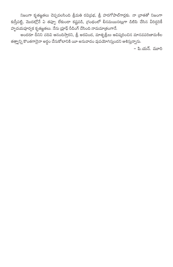నిజంగా కృతజ్ఞతలు చెప్పవలసింది శ్రీమతి రవి[పభ, శ్రీ హరగోపాల్గార్లకు. నా [వాతతో నిజంగా కుస్తీపట్టి, మొదట్లోనే ఏ తప్పూ లేకుండా కష్టపడి, గ్రంథంలో లీనమయినట్లుగా డిటిపి చేసిన వీరిద్దరికీ హృదయపూర్వక కృతజ్ఞతలు. నేను (పూఫ్ రీడింగ్ చేసింది నామమా[తంగానే.

అందరూ దీనిని చదివి ఆనందిస్తారని, శ్రీ అరవింద, మాతృత్రీలు ఆవిష్కరించిన మానవపరిణామశీల తత్వాన్ని కొంతగానైనా అర్థం చేసుకోటానికి యీ అనువాదం వుపయోగిస్తుందని ఆశిస్తున్నాను.

– పి.యన్. మూరి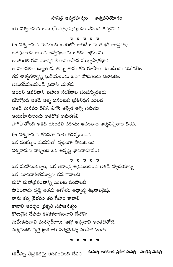## సావిత్రి జన్మరహస్యం – అశ్వపతియోగం

ఒక విశ్వకామన ఆమె (సావిత్రి) పుట్టుకను చేసింది తప్పనిసరి. ס ס ס ס ס (ఆ విశ్వకామన మెదిలింది ఒకరిలో: అతడే ఆమె తండ్రి అశ్వపతి) అతిపురాతన అనాది అన్వేషణందు అతడు అగ్రగామి. అంతుతెలియని మార్మిక లీలావిలాసాన ముఖ్యపా[తధారి ఆ విలాసలీల అజ్ఞాతుడు తన్ను తాను తన రూపాల వెంబడించు వినోదలీల తన శాశ్వతత్వాన్ని ఘడియలందు ఒదిగి పొదిగించు విలాసలీల అమరసీమలనుండి (ప్రవాసి యతడు అందని ఆవలివాని బహుళ సంకేతాల సంపన్నుడతదు వసిస్తోంది అతడి ఆత్మ అనంతుని (పతినిధిగ యిలన అతడి మనము దివిని ఎగసి తన్నెడి అగ్ని సమము ఆయుహీనులందు అతడొక అమరజీవి సాగిపోతోంది అతడి యందలి సర్వము అనంతాల ఆత్మవిస్తారాల దిశన. (ఆ విశ్వకామన తపనగా మారి తపస్సయింది. ఒక సంకల్పం మనసులో దృఢంగా పాదుకొంది విశ్వకామన దాల్చింది ఒక అస్పష్ట భావనారూపం) ס ס ס ס ס ఒక మహాసంకల్పం, ఒక ఆకాంక్ష ఆక్రమించింది అతడి హృదయాన్ని ఒక మానవాతీతమూర్తిని కనుగొనాలనీ మరో మహాద్రపంచాన్ని యిలకు దింపాలనీ సారించాడు దృష్టి అతడు అగోచర అధ్యాత్మ శిఖరాలవైపు. తాను కన్న వైభవం తన గేహం కావాల<mark>ి</mark> కావాలి ఆదర్శం (పకృతి సహజసత్యం కొలువైన దేవుడు కళకళలాడించాలి దేహాన్ని మమేకమవాలి మనశ్శరీరాలు 'అస్తి' అన్నదాని అంతటితోటి. సత్యమెఱిగి వ్యక్తి (బతకాలి సత్యచైతన్య సంసారమందు

**p** p p p p

మహర్షి అరవింద ప్రణీత సావిత్రి - సంక్షిప్త సావిత్రి (త**8**స్సు తీవ్రతరమై కదిలించింది దేవిని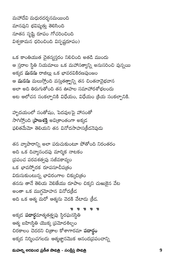మహల్వ అరవింద ప్రణీత సావిత్రి - సంక్షిప్త సావిత్రి

p p p p p అక్కడ **పదార్థ**మాత్మత<u>త్</u>వపు స్థిరఘనస్థితి ఆత్మ బహిఃస్థితి యొక్క (పమోదశిల్పం చిరకాలం చెదరని చి[తాల కోశాగారమా **పదార్థం** అక్కడ నిర్మించగలదు ఆత్మజ్ఞానమొక ఆనంద[పపంచాన్ని

స్రపంచ పరవశత్వపు సజీవకావ్యం ఒక భావస్ఫోరక రూపసూచీప(తం విరుసుకుంటున్న భావిరంగాల చిక్కుచి(తం తనను తానే తెలియ వెలిజేయు రూపాల చిక్కని చుఱుకైన వేట అంతా ఒక ముగ్గమోహన వినోదక్రీడ అది ఒక ఆత్మ మరో ఆత్మను వెదకి వేటాదు క్రీద.

హృదయంలో సంతోషం, పెదవులపై హాసంతో సాగిస్తోంది ప్రాణశక్తి అవి(శాంతంగా అక్కడ ఫలితమేమో తెలియని తన వినోదసాహస(క్రీడనెపుడు

అది ఒక దివ్యానందపు మార్మిక నాటకం

తన వ్యాపారాన్ని అలా పరుచుకుంటూ పోతోంది నిరంతరం

ఒక కాంతియుత చైతన్యస్తరం నిలిచింది అతడి ముందు ఆ స్తరాల స్థితి నియమాలు ఒక మహాసత్యాన్ని అనుసరించి వున్నయి అక్కడ మనసు రాజిల్లు ఒక భావరవికిరణపుంజం ఆ **మనసు** మలుస్తోంది వస్తుతత్వాన్ని తన చింతనావైభవాన అలా అది తిరుగుతోంది తన ఊహల సమాహారశోభలందు అట ఆలోచన సంకల్పానికి విధేయం, విధేయం క్రియ సంకల్పానికి.

మహాదేవి మధురదర్శనమయింది మానవుని భవిష్యత్తు తెలిసింది నూతన సృష్టి రూపం గోచరించింది విశ్వకామన ధరించింది విస్పష్టరూపం)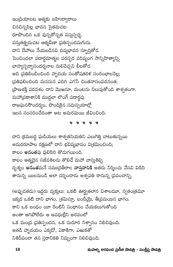ఇం(దియాలట ఆత్మకు బహిఃద్వారాలు చినచిన్నపిల్ల భావన సైతమచట రూపొందిన ఒక వున్నతోన్నత వస్తుస్పర్తు. వస్తుతత్త్వమచట ఆత్మవీణా (పతిస్పందమగును. దాని దేహాలు నేయబడినవి దివ్యభావన స్ఫూర్తితోడ పెంచిందలా పదార్థమాత్మల పరస్పర పరిష్వంగ సాన్నిహిత్యాన్ని. బాహ్యస్పర్శాసందర్శనాల సులివెచ్చని లీలతోడ అది (పతిబింబించింది హృదయ సంతోషతరళ సంరంభాలనెల్ల; (పతిఫలించింది మనసున ఎదిగి ఎగసే చింతనాసంపదనంత; (పాణశక్తి పరవశం దాని మొఱనూ, మంటను నిలుపుతోంది శాశ్వతంగా. మహా(పకాశానికి ముద్దలా లొంగే పదార్థపు రాజఘనసౌందర్యం, పొందికైన సమన్వయాల్లో ఇలన సంసరించేదంతా అట అమరమయి జీవించింది.

ס ס ס ס ס

దాని (కమబద్ధ ఘడియలు శాశ్వతనియతిని ఎలుగెత్తి చాటుతున్నయి అమరరూపాల రక్షణలో దాని భవిష్యభావం వి<sub>(</sub>శమించింది; కాలం అనంతపు వులిపిరి తొడుగయింది. కాలం ఆత్మదైన సజీవశిలను తొలిచే మహా వాస్తుశిల్పి దృశ్యం **అనంత**మనే సముద్రతీరాల **వాస్తవానికి** అతడు నిర్మించు వేసవి విడిది తానున్న యిలనుండి అలా దర్శించాడు అశ్వపతి రానున్న (పపంచాన్ని.

(అప్పుదతడు) ఇద్దరు వ్యక్తులు: ఒకటి ఊర్థ్వతలాన విశాలమూ, స్వతం(తమూ ఇక్కడ ఒకటి దాని భాగం, (శమిస్తూ, బందీయై, తీ(వమయిన భాగం. కాని ఒక బంధం యీ రెంటినీ సంధానం చేయకలుగుతోంది అంతా ఆగిపోలేదు ఆ అవధుల్లేని అరవంలో ఒక మంద్ర ప్రతిస్పందన, ఒక సుదూర నిశ్వాసం నిలిచివుంది. అతడి హృదయం ఎక్కడో, ఏకాకిగా, ఎఱుకతో నిశిదీపంలా తన స్తరానికతి నిమ్నంగా నిలిచివుంది.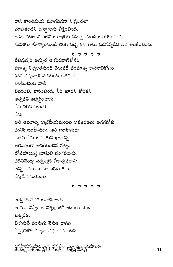దాని కాంతిమయ మూగవేదనా నిశ్చలతలో చూపుకందని ఊర్థ్వాలను వీక్షించింది. తాను వదల వీలులేని ఆశాభరిత నిమ్నాలనుండి ఆక్రోశించింది. సువిశాల శూన్యాలనుండి తిరిగి వచ్చే తన ఆశల పదసవ్వడిని అది ఆలకించింది.

p p p p p వేచివున్నది అమృత అశరీరవాణికోసం జీవాత్మ నిశ్చలతనుండి వెలువడే పరమాత్మ శాసనానికోసం (దేవి దివ్యవాణి మెదిలింది అతడిలో ವಿನಿಪಿಂವಿಂದಿ ವಾಣಿ వివరించి, వారించింది, నీది కూడని కోరికని అశ్వపతి అభ్యర్థించాడు దేవి వరమిచ్చింది) ದೆವಿ: అతి అమూల్య అ(పమేయమయిన అవతరణను అడగబోకు మనిషి బలహీనుడు, అతి బలహీనుడు మోయలేదు అనంతుని భారాన్ని అతివేగంగా అవతరించిన సత్యం లోపభూయిష్ఠ భూమిని భంగపరుచు. వదిలివెయ్యి సర్వశక్తికి నీకార్యఫలాన్ని అన్ని పరిణామాలూ జరుగుతయి దేవుడి సమయంలో

ס ס ס ס ס

అశ్వపతి దేవికి జవాబిచ్చాడు ఆ మహావిస్తారాల నిశ్శబ్ధంలో అది ఒక మొఱ అశ్వపతి: విశ్వమనే ముసుగు వెనుక దాగిన నీవైభవసౌందర్యాల దర్శించిన పిదప

రసహీనసంసారంలో, పసలేని యీ భువిదివసాలతో<br><mark>మహల్న లరవింద ప్రణీత సావిత్రి - సంక్షిప్త సావిత్ర</mark>ి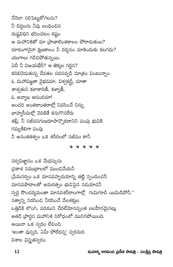మహర్షి అరవింద ప్రణీత సావిత్రి - సంక్షిప్త సావిత్రి

నేనెలా సరిపెట్టుకోగల<mark>ను?</mark> నీ బిడ్డలను నీవు బంధించిన దుష్టవిధిని భరించటం కష్టం ఆ మహానిశితో మా (పాణాలెంతకాలం పోరాదుతయి? దూరంగానైనా క్షణకాలం నీ దర్శనం మాకెందుకు కలగదు? యుగాలు గడిచిపోతున్నయి. ఏదీ నీ విజయభేరీ? ఆ తెక్కల గర్జన? కదిలివెదుతున్న దేవతల పదసవ్వడి మాత్రం వింటున్నాం ఓ మహావిజ్ఞతా వైభవమా, విశ్వక[ర్తీ, మాతా శాశ్వతుని కళాకారిణీ, కళ్యాణీ, ఓ అవ్యాజ ఆనందమా! అందరి అంతరాంతరాల్లో నివసించే నిన్ను బాహ్యసీమల్లో వెదికితే కనుగొనలేరు తల్లీ, నీ సజీవసగుణరూపాన్నొకదానిని పంపు భువికి గమ్యశీలిగా పంపు నీ అనంతతత్వం ఒక శరీరంలో సజీవం కానీ

**p** p p p p

సర్వవిజ్ఞానం ఒక మేధస్సును ్రపకాశ సము[దాలలో ముంచివేయనీ (పేమసర్వం ఒక మానవహృదయాన్ని తట్టి స్పందించనీ మానవపాదాలతో అమరత్వం భువిపైన నడయాడనీ స్వర్గ సౌందర్యమంతా మానవశరీరాంగాల్లో గుమిగూడి యిమిడిపోనీ." సత్యాన్ని నిరసించి నీరసించే వేలశకుల ఒత్తిడికి లొంగి, పరముని చేరలేమోనన్నంత బలహీనమైనట్లు అతడి [పార్థన మహానిశి నిరోధంలో మునిగిపోయింది. అయినా ఒక స్వరం లేచింది 'అంతా వున్నది, ఏమీ పోలేదన్న' స్వరమది విశాల విస్తృతస్వరం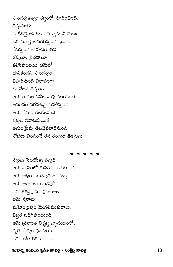సౌందర్యతత్త్వం శబ్దంలో స్పురించింది. దివ్యమాత: ఓ ధీరవైతాళికుడా, విన్నాను నీ మొఱ ఒక మూర్తి అవతరిస్తుంది భువిన ఛేదిస్తుంది లోహనియతిని శక్తులూ, వైభవాలూ కలిసివుంటయి ఆమెలో భువికందని సౌందర్యం విహరిస్తుంది విలాసంగా ఈ నేలన దివ్య<mark>ం</mark>గా ఆమె కురుల వినీల మేఘవలయంలో ఆనందం పరవశమై పవళిస్తుంది ఆమె దేహం కలకలమనే పక్షుల నివాసమయితే అమర(పేమ తెపతెపలాడిస్తుంది శోభలు చిందించే తన రంగుల తెక్కలను.

**p** p p p p స్వర్గపు సెలయేళ్ళ సవ్వడి ఆమె హాసంలో గుసగుసలాడుతుంది. ఆమె అధరాలు దేవుడి తేనెపట్లు. ఆమె అంగాలు ఆ దేవుడి పరవశత్వపు సువర్ణకలశాలు. ఆమె స్తనాలు మహేంద్రపురి మొగలిముకురాలు. విజ్ఞత ఒదిగివుంటుంది ఆమె (పశాంత నిశ్శబ్ద హృదయంలో, ధృతి, వీర్యం వుంటయి ఒక విజేత కరవాలంలా

## మహర్షి అరవింద ప్రణీత సావిత్రి - సంక్షిప్త సావిత్రి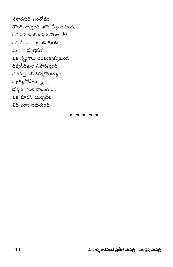సనాతనుడి సంతోషం తొంగిచూస్తుంది ఆమె నేఱ్రాలనుండి. ఒక ఘోరమరణ ఘంటికల వేళ ఒక బీజం నాటబడుతుంది మానవ మృత్తికలో ఒక స్వర్గశాఖ అంటుతొక్కుతుంది దివ్యదీధితుల విహరిస్తుంది ధరణిపై ఒక దివ్యసౌందర్యం మృత్యుసోపానాన్ని (పకృతి గెంతి దాటుతుంది. ఒక మారని యిచ్ఛచేత విధి మార్చబడుతుంది

**p** p p p p